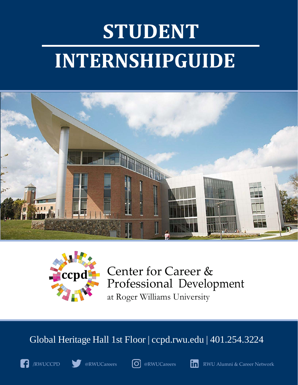## **STUDENT INTERNSHIPGUIDE**





Center for Career & Professional Development at Roger Williams University

## Global Heritage Hall 1st Floor | ccpd.rwu.edu | 401.254.3224









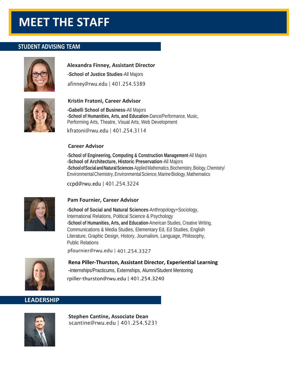## **MEET THE STAFF**

#### **STUDENT ADVISING TEAM**



#### **Alexandra Finney, Assistant Director**

**-School of Justice Studies**-All Majors

[afinney@rwu.edu |](mailto:afinney@rwu.edu) 401.254.5389



#### **Kristin Fratoni, Career Advisor**

**-Gabelli School of Business**-All Majors **-School of Humanities, Arts, and Education**-Dance/Performance, Music, Performing Arts, Theatre, Visual Arts, Web Development

[kfratoni@rwu.edu |](mailto:kfratoni@rwu.edu) 401.254.3114

#### **Career Advisor**

**-School of Engineering, Computing & Construction Management**-All Majors **-School of Architecture, Historic Preservation**-All Majors **-SchoolofSocial andNaturalSciences**-AppliedMathematics,Biochemistry,Biology,Chemistry/ Environmental Chemistry, Environmental Science, Marine Biology, Mathematics

[ccpd@rwu.edu |](mailto:ccpd@rwu.edu) 401.254.3224



#### **Pam Fournier, Career Advisor**

**-School of Social and Natural Sciences**-Anthropology+Sociology, International Relations[, Political Science & P](mailto:sneary@rwu.edu)sychology **-School of Humanities, Arts, and Education**-American Studies, Creative Writing, Communications & Media Studies, Elementary Ed, Ed Studies, English Literature, Graphic Design, History, Journalism, Language, Philosophy, Public Relations

[pfournier@rwu.edu |](mailto:pfournier@rwu.edu) 401.254.3327



**Rena Piller-Thurston, Assistant Director, Experiential Learning -**Internships/Practicums, Externships, Alumni/Student Mentoring [rpiller-thurston@rwu.edu |](mailto:pfournier@rwu.edu) 401.254.3240

#### **LEADERSHIP**



**Stephen Cantine, Associate Dean** [scantine@rwu.edu | 4](mailto:scantine@rwu.edu)01.254.5231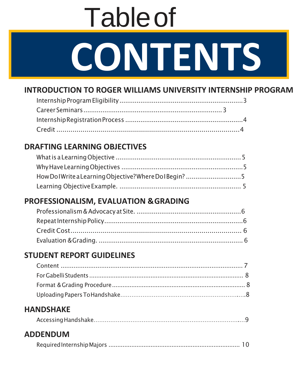# **CONTENTS** Tableof

## **INTRODUCTION TO ROGER WILLIAMS UNIVERSITY INTERNSHIP PROGRAM**

## **DRAFTING LEARNING OBJECTIVES**

| How Dol Write a Learning Objective? Where Dol Begin? 5 |  |
|--------------------------------------------------------|--|
|                                                        |  |

## **PROFESSIONALISM, EVALUATION &GRADING**

## **STUDENT REPORT GUIDELINES**

## **HANDSHAKE**

|--|

### **ADDENDUM**

|--|--|--|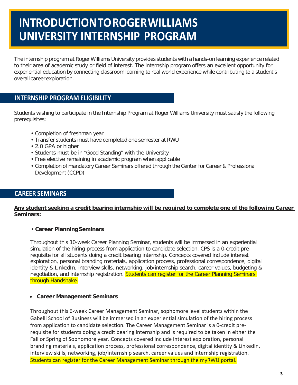## **INTRODUCTIONTOROGERWILLIAMS UNIVERSITY INTERNSHIP PROGRAM**

The internship program at Roger Williams University provides students with a hands-on learning experience related to their area of academic study or field of interest. The internship program offers an excellent opportunity for experiential education by connecting classroom learning to real world experience while contributing to a student's overall career exploration.

#### <span id="page-3-0"></span>**INTERNSHIP PROGRAM ELIGIBILITY**

Students wishing to participate in the Internship Program at Roger Williams University must satisfy the following prerequisites:

- Completion of freshman year
- Transfer students must have completed one semester at RWU
- 2.0 GPA or higher
- Students must be in "Good Standing" with the University
- Free elective remaining in academic program when applicable
- Completion of mandatory Career Seminars offered through the Center for Career & Professional Development (CCPD)

#### <span id="page-3-1"></span>**CAREER SEMINARS**

#### **Any student seeking a credit bearing internship will be required to complete one of the following Career Seminars:**

#### • **Career PlanningSeminars**

Throughout this 10-week Career Planning Seminar, students will be immersed in an experiential simulation of the hiring process from application to candidate selection. CPS is a 0-credit prerequisite for all students doing a credit bearing internship. Concepts covered include interest exploration, personal branding materials, application process, professional correspondence, digital identity & LinkedIn, interview skills, networking, job/internship search, career values, budgeting & negotiation, and internship registration. Students can register for the Career Planning Seminars through Handshake.

#### • **Career Management Seminars**

Throughout this 6-week Career Management Seminar, sophomore level students within the Gabelli School of Business will be immersed in an experiential simulation of the hiring process from application to candidate selection. The Career Management Seminar is a 0-credit prerequisite for students doing a credit bearing internship and is required to be taken in either the Fall or Spring of Sophomore year. Concepts covered include interest exploration, personal branding materials, application process, professional correspondence, digital identity & LinkedIn, interview skills, networking, job/internship search, career values and internship registration. Students can register for the Career Management Seminar through the myRWU portal.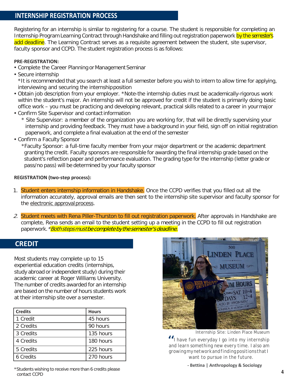#### <span id="page-4-0"></span>**INTERNSHIP REGISTRATION PROCESS**

Registering for an internship is similar to registering for a course. The student is responsible for completing an Internship Program Learning Contract through Handshake and filling out registration paperwork by the semester's add deadline. The Learning Contract serves as a requisite agreement between the student, site supervisor, faculty sponsor and CCPD. The student registration process is as follows:

#### **PRE-REGISTRATION:**

- Complete the Career Planning or Management Seminar
- Secure internship

\*It is recommended that you search at least a full semester before you wish to intern to allow time for applying, interviewing and securing the internshipposition

- Obtain job description from your employer. \*Note-the internship duties must be academically-rigorous work within the student's major. An internship will not be approved for credit if the student is primarily doing basic office work – you must be practicing and developing relevant, practical skills related to a career in yourmajor
- Confirm Site Supervisor and contact information
	- \* Site Supervisor: a member of the organization you are working for, that will be directly supervising your internship and providing feedback. They must have a background in your field, sign off on initial registration paperwork, and complete a final evaluation at the end of the semester
- Confirm a Faculty Sponsor

\*Faculty Sponsor: a full-time faculty member from your major department or the academic department granting the credit. Faculty sponsors are responsible for awarding the final internship grade based on the student's reflection paper and performance evaluation. The grading type for the internship (letter grade or pass/no pass) will be determined by your faculty sponsor

#### **REGISTRATION (two-step process):**

- 1. Student enters internship information in Handshake. Once the CCPD verifies that you filled out all the information accurately, approval emails are then sent to the internship site supervisor and faculty sponsor for the electronic approval process.
- 2. Student meets with Rena Piller-Thurston to fill out registration paperwork. After approvals in Handshake are complete, Rena sends an email to the student setting up a meeting in the CCPD to fill out registration paperwork. *\*Both steps must be complete by the semester's deadline.*

#### <span id="page-4-1"></span>**CREDIT**

Most students may complete up to 15 experiential education credits (internships, study abroad or independent study) during their academic career at Roger Williams University. The number of credits awarded for an internship are based on the number of hours students work at their internship site over a semester.

| <b>Credits</b> | <b>Hours</b> |
|----------------|--------------|
| 1 Credit       | 45 hours     |
| 2 Credits      | 90 hours     |
| 3 Credits      | 135 hours    |
| 4 Credits      | 180 hours    |
| 5 Credits      | 225 hours    |
| 6 Credits      | 270 hours    |



*Internship Site: Linden Place Museum*

" *I have fun everyday I go into my internship and learn something new every time. I also am growingmynetworkandfindingpositions that I want to pursue in the future.*

\*Students wishing to receive more than 6 credits please contact CCPD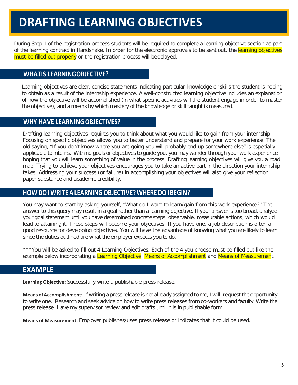## **DRAFTING LEARNING OBJECTIVES**

During Step 1 of the registration process students will be required to complete a learning objective section as part of the learning contract in Handshake. In order for the electronic approvals to be sent out, the learning objectives must be filled out properly or the registration process will bedelayed.

#### <span id="page-5-0"></span>**WHATIS LEARNINGOBJECTIVE?**

Learning objectives are clear, concise statements indicating particular knowledge or skills the student is hoping to obtain as a result of the internship experience. A well-constructed learning objective includes an explanation of how the objective will be accomplished (in what specific activities will the student engage in order to master the objective), and a means by which mastery of the knowledge or skill taught is measured.

#### <span id="page-5-1"></span>**WHY HAVE LEARNINGOBJECTIVES?**

Drafting learning objectives requires you to think about what you would like to gain from your internship. Focusing on specific objectives allows you to better understand and prepare for your work experience. The old saying, "If you don't know where you are going you will probably end up somewhere else" is especially applicable to interns. With no goals or objectives to guide you, you may wander through your work experience hoping that you will learn something of value in the process. Drafting learning objectives will give you a road map. Trying to achieve your objectives encourages you to take an active part in the direction your internship takes. Addressing your success (or failure) in accomplishing your objectives will also give your reflection paper substance and academic credibility.

#### <span id="page-5-2"></span>**HOWDOIWRITEALEARNINGOBJECTIVE?WHEREDOIBEGIN?**

You may want to start by asking yourself, "What do I want to learn/gain from this work experience?" The answer to this query may result in a goal rather than a learning objective. If your answer is too broad, analyze your goal statement until you have determined concrete steps, observable, measurable actions, which would lead to attaining it. These steps will become your objectives. If you have one, a job description is often a good resource for developing objectives. You will have the advantage of knowing what you are likely to learn since the duties outlined are what the employer expects you to do.

\*\*\*You will be asked to fill out 4 Learning Objectives. Each of the 4 you choose must be filled out like the example below incorporating a Learning Objective, Means of Accomplishment and Means of Measurement.

#### **EXAMPLE**

**Learning Objective:** Successfully write a publishable press release.

**Means ofAccomplishment:** If writing a press release is not already assigned to me, I will: request the opportunity to write one. Research and seek advice on how to write press releases from co-workers and faculty. Write the press release. Have my supervisor review and edit drafts until it is in publishable form.

**Means of Measurement:** Employer publishes/uses press release or indicates that it could be used.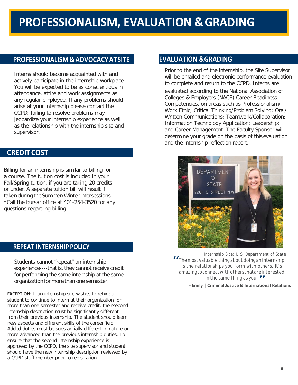#### **PROFESSIONALISM &ADVOCACYATSITE EVALUATION &GRADING**

Interns should become acquainted with and actively participate in the internship workplace. You will be expected to be as conscientious in attendance, attire and work assignments as any regular employee. If any problems should arise at your internship please contact the CCPD; failing to resolve problems may jeopardize your internship experience as well as the relationship with the internship site and supervisor.

#### **CREDIT COST**

Billing for an internship is similar to billing for a course. The tuition cost is included in your Fall/Spring tuition, if you are taking 20 credits or under. A separate tuition bill will result if taken during the Summer/Winter intersessions. \*Call the bursar office at 401-254-3520 for any questions regarding billing.

#### <span id="page-6-0"></span>**REPEAT INTERNSHIP POLICY**

Students cannot "repeat" an internship experience----that is, they cannot receive credit for performing the same internship at the same organization for more than one semester.

**EXCEPTION:** If an internship site wishes to rehire a student to continue to intern at their organization for more than one semester and receive credit, theirsecond internship description must be significantly different from their previous internship. The student should learn new aspects and different skills of the careerfield. Added duties must be substantially different in nature or more advanced than the previous internship duties. To ensure that the second internship experience is approved by the CCPD, the site supervisor and student should have the new internship description reviewed by a CCPD staff member prior to registration.

Prior to the end of the internship, the Site Supervisor will be emailed and electronic performance evaluation to complete and return to the CCPD. Interns are evaluated according to the National Association of Colleges & Employers (NACE) Career Readiness Competencies, on areas such as Professionalism/ Work Ethic; Critical Thinking/Problem Solving; Oral/ Written Communications; Teamwork/Collaboration; Information Technology Application; Leadership; and Career Management. The Faculty Sponsor will determine your grade on the basis of this evaluation and the internship reflection report.



*in the same thing as you.*<br>| Criminal Justice & Internatio *Internship Site: U.S. Department of State The most valuable thing about doing an internship*<br>
is the relationships you form with others. It's *is the relationships you form with others. It's amazingtoconnectwithothersthatareinterested* 

**- Emily | Criminal Justice & International Relations**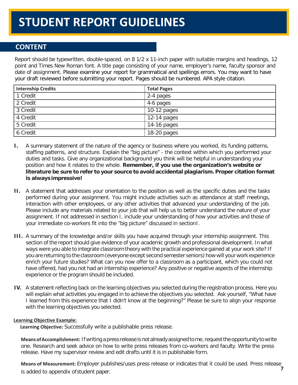## **STUDENT REPORT GUIDELINES**

#### <span id="page-7-1"></span>**CONTENT**

Report should be typewritten, double-spaced, on 8 1/2 x 11-inch paper with suitable margins and headings, 12 point and Times New Roman font. A title page consisting of your name, employer's name, faculty sponsor and date of assignment. Please examine your report for grammatical and spellings errors. You may want to have your draft reviewed before submitting your report. Pages should be numbered. APA style citation.

| <b>Internship Credits</b> | <b>Total Pages</b> |
|---------------------------|--------------------|
| 1 Credit                  | 2-4 pages          |
| 2 Credit                  | 4-6 pages          |
| 3 Credit                  | 10-12 pages        |
| 4 Credit                  | $12-14$ pages      |
| 5 Credit                  | 14-16 pages        |
| 6 Credit                  | 18-20 pages        |

- **I.** A summary statement of the nature of the agency or business where you worked, its funding patterns, staffing patterns, and structure. Explain the "big picture" - the context within which you performed your duties and tasks. Give any organizational background you think will be helpful in understanding your position and how it relates to the whole. **Remember, if you use the organization's website or literature be sure to refer to your source to avoid accidental plagiarism. Proper citation format is always impressive!**
- **II.** A statement that addresses your orientation to the position as well as the specific duties and the tasks performed during your assignment. You might include activities such as attendance at staff meetings, interaction with other employees, or any other activities that advanced your understanding of the job. Please include any materials related to your job that will help us to better understand the nature of your assignment. If not addressed in section I, include your understanding of how your activities and those of your immediate co-workers fit into the "big picture" discussed in sectionI.
- **III.** A summary of the knowledge and/or skills you have acquired through your internship assignment. This section of the report should give evidence of your academic growth and professional development. In what ways were you able to integrate classroom theory with the practical experience gained at your work site? If you are returning to the classroom (everyone except second semester seniors) how will your work experience enrich your future studies? What can you now offer to a classroom as a participant, which you could not have offered, had you not had an internship experience? Any positive or negative aspects of the internship experience or the program should be included.
- **IV.** A statement reflecting back on the learning objectives you selected during the registration process. Here you will explain what activities you engaged in to achieve the objectives you selected. Ask yourself, "What have I learned from this experience that I didn't know at the beginning?" Please be sure to align your response with the learning objectives you selected.

#### <span id="page-7-0"></span>**Learning Objective Example:**

**Learning Objective:** Successfully write a publishable press release.

Means of Accomplishment: If writing a press release is not already assigned to me, request the opportunity to write one. Research and seek advice on how to write press releases from co-workers and faculty. Write the press release. Have my supervisor review and edit drafts until it is in publishable form.

**Means of Measurement:** Employer publishes/uses press release or indicates that it could be used. Press release is added to appendix ofstudent paper. **7**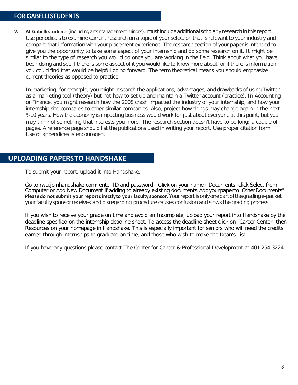#### <span id="page-8-0"></span>**FOR GABELLISTUDENTS**

**V. AllGabellistudents**(including arts management minors): mustinclude additional scholarly researchin this report Use periodicals to examine current research on a topic of your selection that is relevant to your industry and compare that information with your placement experience. The research section of your paper is intended to give you the opportunity to take some aspect of your internship and do some research on it. It might be similar to the type of research you would do once you are working in the field. Think about what you have been doing and see if there is some aspect of it you would like to know more about, or if there is information you could find that would be helpful going forward. The term theoretical means you should emphasize current theories as opposed to practice.

<span id="page-8-1"></span>In marketing, for example, you might research the applications, advantages, and drawbacks of using Twitter as a marketing tool (theory) but not how to set up and maintain a Twitter account (practice). In Accounting or Finance, you might research how the 2008 crash impacted the industry of your internship, and how your internship site compares to other similar companies. Also, project how things may change again in the next 5-10 years. How the economy is impacting business would work for just about everyone at this point, but you may think of something that interests you more. The research section doesn't have to be long; a couple of pages. A reference page should list the publications used in writing your report. Use proper citation form. Use of appendices is encouraged.

#### **UPLOADING PAPERSTO HANDSHAKE**

To submit your report, upload it into Handshake.

Go to rwu.joinhandshake.com enter ID and password  $\cdot$  Click on your name  $\cdot$  Documents, click Select from Computer or Add New Document if adding to already existing documents. Add your paper to "Other Documents" **Pleasedo not submit your reportdirectlyto your facultysponsor.**Yourreportisonlyonepartofthegradinge-packet yourfaculty sponsorreceives and disregarding procedure causes confusion and slows the grading process.

If you wish to receive your grade on time and avoid an Incomplete, upload your report into Handshake by the deadline specified on the internship deadline sheet. To access the deadline sheet click on "Career Center" then Resources on your homepage in Handshake. This is especially important for seniors who will need the credits earned through internships to graduate on time, and those who wish to make the Dean's List.

If you have any questions please contact The Center for Career & Professional Development at 401.254.3224.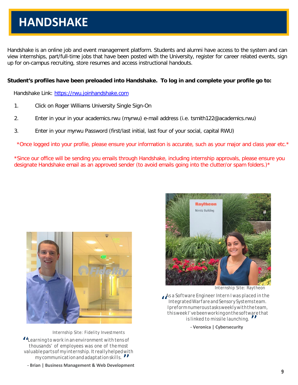Handshake is an online job and event management platform. Students and alumni have access to the system and can view internships, part/full-time jobs that have been posted with the University, register for career related events, sign up for on-campus recruiting, store resumes and access instructional handouts.

#### **Student's profiles have been preloaded into Handshake. To log in and complete your profile go to:**

Handshake Link: [https://rwu.joinhandshake.com](https://rwu.joinhandshake.com/)

- 1. Click on Roger Williams University Single Sign-On
- 2. Enter in your in your academics.rwu (myrwu) e-mail address (i.e. tsmith122@academics.rwu)
- 3. Enter in your myrwu Password (first/last initial, last four of your social, capital RWU)

\*Once logged into your profile, please ensure your information is accurate, such as your major and class year etc.\*

\*Since our office will be sending you emails through Handshake, including internship approvals, please ensure you designate Handshake email as an approved sender (to avoid emails going into the clutter/or spam folders.)\*



*Internship Site: Fidelity Investments*

management communication and adaptation skills. **If**<br>**- Brian | Business Management & Web Development** *Learning to work in an environment with tens of*  "*thousands' of employees was one of themost valuablepartsofmyinternship.Itreallyhelpedwith my communicationandadaptation skills.*



*Internship Site: Raytheon*

*is linked to missile launching. II*<br>- Veronica I Cybersecurity *As a Software Engineer Intern I was placed in the*  " *IntegratedWarfareandSensorySystemsteam. Ipreformnumeroustasksweeklywiththeteam, thisweekI'vebeenworkingonthesoftwarethat* 

**- Veronica | Cybersecurity**